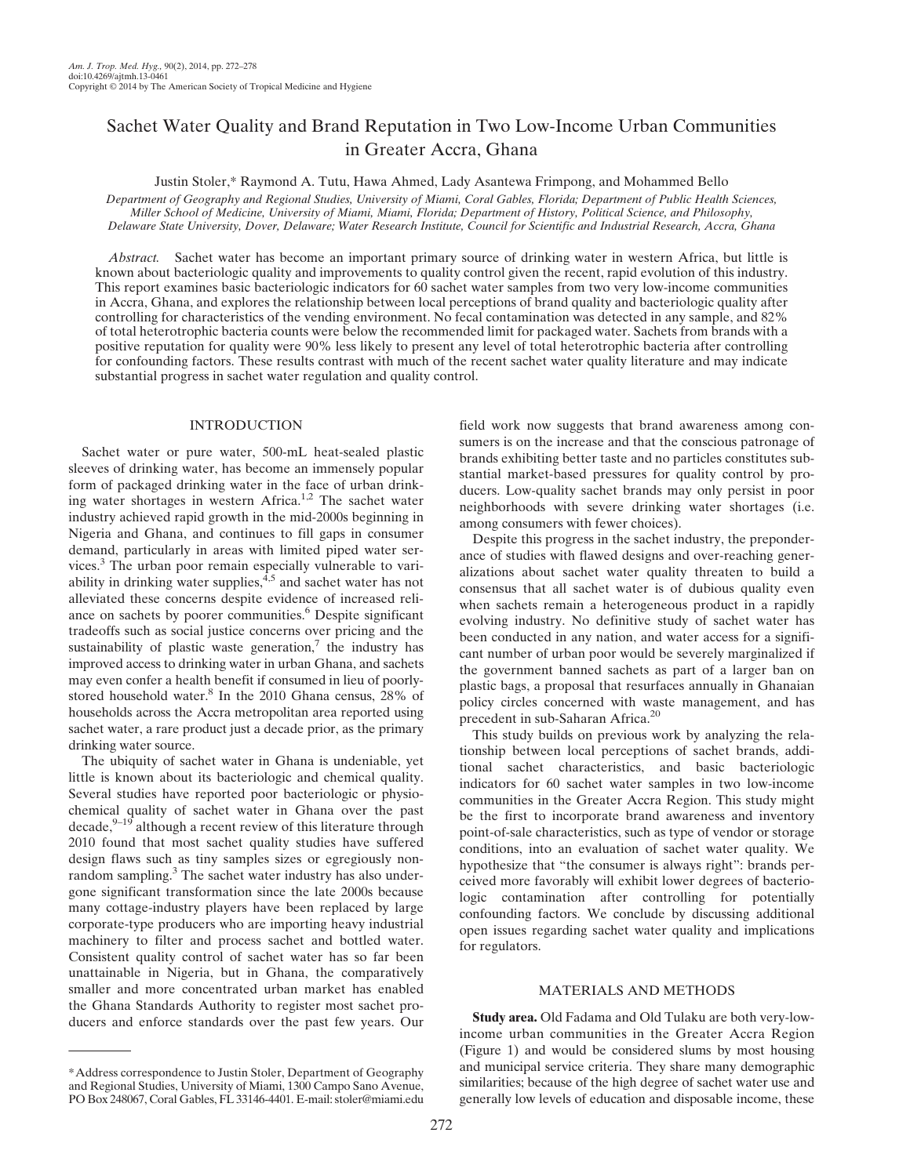# Sachet Water Quality and Brand Reputation in Two Low-Income Urban Communities in Greater Accra, Ghana

Justin Stoler,\* Raymond A. Tutu, Hawa Ahmed, Lady Asantewa Frimpong, and Mohammed Bello

Department of Geography and Regional Studies, University of Miami, Coral Gables, Florida; Department of Public Health Sciences, Miller School of Medicine, University of Miami, Miami, Florida; Department of History, Political Science, and Philosophy, Delaware State University, Dover, Delaware; Water Research Institute, Council for Scientific and Industrial Research, Accra, Ghana

Abstract. Sachet water has become an important primary source of drinking water in western Africa, but little is known about bacteriologic quality and improvements to quality control given the recent, rapid evolution of this industry. This report examines basic bacteriologic indicators for 60 sachet water samples from two very low-income communities in Accra, Ghana, and explores the relationship between local perceptions of brand quality and bacteriologic quality after controlling for characteristics of the vending environment. No fecal contamination was detected in any sample, and 82% of total heterotrophic bacteria counts were below the recommended limit for packaged water. Sachets from brands with a positive reputation for quality were 90% less likely to present any level of total heterotrophic bacteria after controlling for confounding factors. These results contrast with much of the recent sachet water quality literature and may indicate substantial progress in sachet water regulation and quality control.

## INTRODUCTION

Sachet water or pure water, 500-mL heat-sealed plastic sleeves of drinking water, has become an immensely popular form of packaged drinking water in the face of urban drinking water shortages in western Africa.<sup>1,2</sup> The sachet water industry achieved rapid growth in the mid-2000s beginning in Nigeria and Ghana, and continues to fill gaps in consumer demand, particularly in areas with limited piped water services.<sup>3</sup> The urban poor remain especially vulnerable to variability in drinking water supplies,  $4.5$  and sachet water has not alleviated these concerns despite evidence of increased reliance on sachets by poorer communities.<sup>6</sup> Despite significant tradeoffs such as social justice concerns over pricing and the sustainability of plastic waste generation, $\frac{7}{1}$  the industry has improved access to drinking water in urban Ghana, and sachets may even confer a health benefit if consumed in lieu of poorlystored household water.<sup>8</sup> In the 2010 Ghana census, 28% of households across the Accra metropolitan area reported using sachet water, a rare product just a decade prior, as the primary drinking water source.

The ubiquity of sachet water in Ghana is undeniable, yet little is known about its bacteriologic and chemical quality. Several studies have reported poor bacteriologic or physiochemical quality of sachet water in Ghana over the past decade, $9-19$  although a recent review of this literature through 2010 found that most sachet quality studies have suffered design flaws such as tiny samples sizes or egregiously nonrandom sampling.<sup>3</sup> The sachet water industry has also undergone significant transformation since the late 2000s because many cottage-industry players have been replaced by large corporate-type producers who are importing heavy industrial machinery to filter and process sachet and bottled water. Consistent quality control of sachet water has so far been unattainable in Nigeria, but in Ghana, the comparatively smaller and more concentrated urban market has enabled the Ghana Standards Authority to register most sachet producers and enforce standards over the past few years. Our field work now suggests that brand awareness among consumers is on the increase and that the conscious patronage of brands exhibiting better taste and no particles constitutes substantial market-based pressures for quality control by producers. Low-quality sachet brands may only persist in poor neighborhoods with severe drinking water shortages (i.e. among consumers with fewer choices).

Despite this progress in the sachet industry, the preponderance of studies with flawed designs and over-reaching generalizations about sachet water quality threaten to build a consensus that all sachet water is of dubious quality even when sachets remain a heterogeneous product in a rapidly evolving industry. No definitive study of sachet water has been conducted in any nation, and water access for a significant number of urban poor would be severely marginalized if the government banned sachets as part of a larger ban on plastic bags, a proposal that resurfaces annually in Ghanaian policy circles concerned with waste management, and has precedent in sub-Saharan Africa.<sup>20</sup>

This study builds on previous work by analyzing the relationship between local perceptions of sachet brands, additional sachet characteristics, and basic bacteriologic indicators for 60 sachet water samples in two low-income communities in the Greater Accra Region. This study might be the first to incorporate brand awareness and inventory point-of-sale characteristics, such as type of vendor or storage conditions, into an evaluation of sachet water quality. We hypothesize that "the consumer is always right": brands perceived more favorably will exhibit lower degrees of bacteriologic contamination after controlling for potentially confounding factors. We conclude by discussing additional open issues regarding sachet water quality and implications for regulators.

## MATERIALS AND METHODS

Study area. Old Fadama and Old Tulaku are both very-lowincome urban communities in the Greater Accra Region (Figure 1) and would be considered slums by most housing and municipal service criteria. They share many demographic similarities; because of the high degree of sachet water use and generally low levels of education and disposable income, these

<sup>\*</sup>Address correspondence to Justin Stoler, Department of Geography and Regional Studies, University of Miami, 1300 Campo Sano Avenue, PO Box 248067, Coral Gables, FL 33146-4401. E-mail: stoler@miami.edu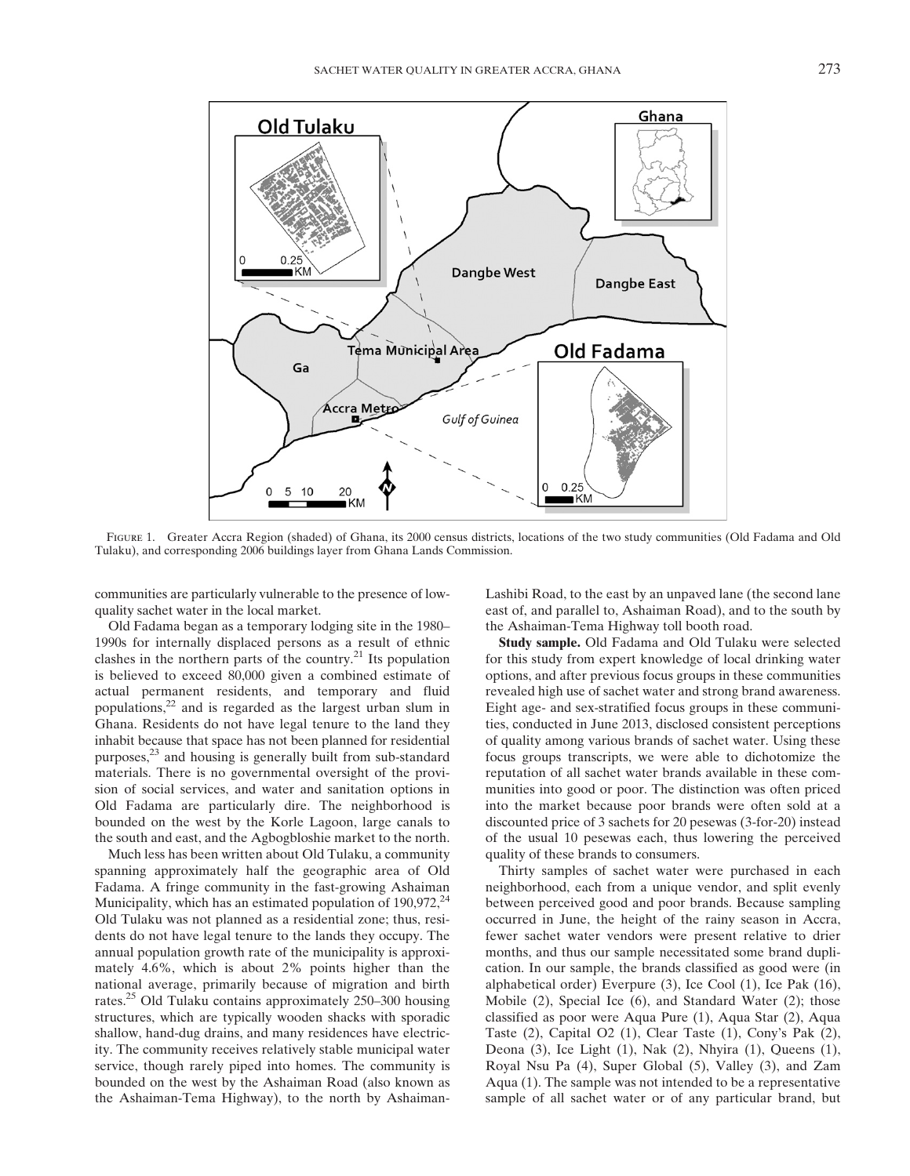

FIGURE 1. Greater Accra Region (shaded) of Ghana, its 2000 census districts, locations of the two study communities (Old Fadama and Old Tulaku), and corresponding 2006 buildings layer from Ghana Lands Commission.

communities are particularly vulnerable to the presence of lowquality sachet water in the local market.

Old Fadama began as a temporary lodging site in the 1980– 1990s for internally displaced persons as a result of ethnic clashes in the northern parts of the country. $^{21}$  Its population is believed to exceed 80,000 given a combined estimate of actual permanent residents, and temporary and fluid populations,<sup>22</sup> and is regarded as the largest urban slum in Ghana. Residents do not have legal tenure to the land they inhabit because that space has not been planned for residential purposes,<sup>23</sup> and housing is generally built from sub-standard materials. There is no governmental oversight of the provision of social services, and water and sanitation options in Old Fadama are particularly dire. The neighborhood is bounded on the west by the Korle Lagoon, large canals to the south and east, and the Agbogbloshie market to the north.

Much less has been written about Old Tulaku, a community spanning approximately half the geographic area of Old Fadama. A fringe community in the fast-growing Ashaiman Municipality, which has an estimated population of  $190,972$ ,  $^{24}$ Old Tulaku was not planned as a residential zone; thus, residents do not have legal tenure to the lands they occupy. The annual population growth rate of the municipality is approximately 4.6%, which is about 2% points higher than the national average, primarily because of migration and birth rates.25 Old Tulaku contains approximately 250–300 housing structures, which are typically wooden shacks with sporadic shallow, hand-dug drains, and many residences have electricity. The community receives relatively stable municipal water service, though rarely piped into homes. The community is bounded on the west by the Ashaiman Road (also known as the Ashaiman-Tema Highway), to the north by AshaimanLashibi Road, to the east by an unpaved lane (the second lane east of, and parallel to, Ashaiman Road), and to the south by the Ashaiman-Tema Highway toll booth road.

Study sample. Old Fadama and Old Tulaku were selected for this study from expert knowledge of local drinking water options, and after previous focus groups in these communities revealed high use of sachet water and strong brand awareness. Eight age- and sex-stratified focus groups in these communities, conducted in June 2013, disclosed consistent perceptions of quality among various brands of sachet water. Using these focus groups transcripts, we were able to dichotomize the reputation of all sachet water brands available in these communities into good or poor. The distinction was often priced into the market because poor brands were often sold at a discounted price of 3 sachets for 20 pesewas (3-for-20) instead of the usual 10 pesewas each, thus lowering the perceived quality of these brands to consumers.

Thirty samples of sachet water were purchased in each neighborhood, each from a unique vendor, and split evenly between perceived good and poor brands. Because sampling occurred in June, the height of the rainy season in Accra, fewer sachet water vendors were present relative to drier months, and thus our sample necessitated some brand duplication. In our sample, the brands classified as good were (in alphabetical order) Everpure (3), Ice Cool (1), Ice Pak (16), Mobile (2), Special Ice (6), and Standard Water (2); those classified as poor were Aqua Pure (1), Aqua Star (2), Aqua Taste (2), Capital O2 (1), Clear Taste (1), Cony's Pak (2), Deona (3), Ice Light (1), Nak (2), Nhyira (1), Queens (1), Royal Nsu Pa (4), Super Global (5), Valley (3), and Zam Aqua (1). The sample was not intended to be a representative sample of all sachet water or of any particular brand, but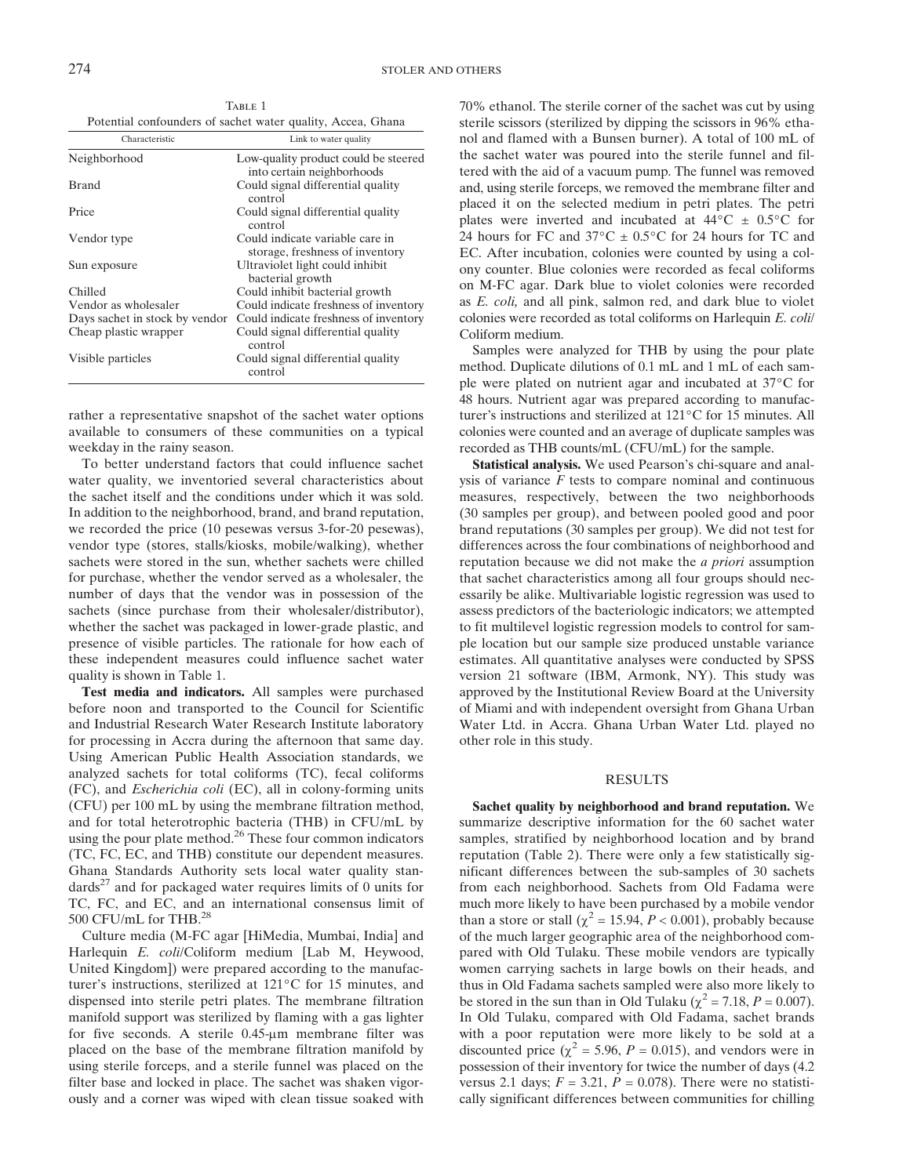TABLE 1 Potential confounders of sachet water quality, Accea, Ghana

| Characteristic                 | Link to water quality                                              |
|--------------------------------|--------------------------------------------------------------------|
| Neighborhood                   | Low-quality product could be steered<br>into certain neighborhoods |
| <b>Brand</b>                   | Could signal differential quality<br>control                       |
| Price                          | Could signal differential quality<br>control                       |
| Vendor type                    | Could indicate variable care in<br>storage, freshness of inventory |
| Sun exposure                   | Ultraviolet light could inhibit<br>bacterial growth                |
| Chilled                        | Could inhibit bacterial growth                                     |
| Vendor as wholesaler           | Could indicate freshness of inventory                              |
| Days sachet in stock by vendor | Could indicate freshness of inventory                              |
| Cheap plastic wrapper          | Could signal differential quality<br>control                       |
| Visible particles              | Could signal differential quality<br>control                       |

rather a representative snapshot of the sachet water options available to consumers of these communities on a typical weekday in the rainy season.

To better understand factors that could influence sachet water quality, we inventoried several characteristics about the sachet itself and the conditions under which it was sold. In addition to the neighborhood, brand, and brand reputation, we recorded the price (10 pesewas versus 3-for-20 pesewas), vendor type (stores, stalls/kiosks, mobile/walking), whether sachets were stored in the sun, whether sachets were chilled for purchase, whether the vendor served as a wholesaler, the number of days that the vendor was in possession of the sachets (since purchase from their wholesaler/distributor), whether the sachet was packaged in lower-grade plastic, and presence of visible particles. The rationale for how each of these independent measures could influence sachet water quality is shown in Table 1.

Test media and indicators. All samples were purchased before noon and transported to the Council for Scientific and Industrial Research Water Research Institute laboratory for processing in Accra during the afternoon that same day. Using American Public Health Association standards, we analyzed sachets for total coliforms (TC), fecal coliforms (FC), and Escherichia coli (EC), all in colony-forming units (CFU) per 100 mL by using the membrane filtration method, and for total heterotrophic bacteria (THB) in CFU/mL by using the pour plate method. $26$  These four common indicators (TC, FC, EC, and THB) constitute our dependent measures. Ghana Standards Authority sets local water quality stan $dards<sup>27</sup>$  and for packaged water requires limits of 0 units for TC, FC, and EC, and an international consensus limit of 500 CFU/mL for THB.<sup>28</sup>

Culture media (M-FC agar [HiMedia, Mumbai, India] and Harlequin E. coli/Coliform medium [Lab M, Heywood, United Kingdom]) were prepared according to the manufacturer's instructions, sterilized at 121°C for 15 minutes, and dispensed into sterile petri plates. The membrane filtration manifold support was sterilized by flaming with a gas lighter for five seconds. A sterile  $0.45$ - $\mu$ m membrane filter was placed on the base of the membrane filtration manifold by using sterile forceps, and a sterile funnel was placed on the filter base and locked in place. The sachet was shaken vigorously and a corner was wiped with clean tissue soaked with 70% ethanol. The sterile corner of the sachet was cut by using sterile scissors (sterilized by dipping the scissors in 96% ethanol and flamed with a Bunsen burner). A total of 100 mL of the sachet water was poured into the sterile funnel and filtered with the aid of a vacuum pump. The funnel was removed and, using sterile forceps, we removed the membrane filter and placed it on the selected medium in petri plates. The petri plates were inverted and incubated at  $44^{\circ}$ C  $\pm$  0.5°C for 24 hours for FC and  $37^{\circ}$ C  $\pm$  0.5 $^{\circ}$ C for 24 hours for TC and EC. After incubation, colonies were counted by using a colony counter. Blue colonies were recorded as fecal coliforms on M-FC agar. Dark blue to violet colonies were recorded as E. coli, and all pink, salmon red, and dark blue to violet colonies were recorded as total coliforms on Harlequin E. coli/ Coliform medium.

Samples were analyzed for THB by using the pour plate method. Duplicate dilutions of 0.1 mL and 1 mL of each sample were plated on nutrient agar and incubated at 37°C for 48 hours. Nutrient agar was prepared according to manufacturer's instructions and sterilized at 121°C for 15 minutes. All colonies were counted and an average of duplicate samples was recorded as THB counts/mL (CFU/mL) for the sample.

Statistical analysis. We used Pearson's chi-square and analysis of variance  $F$  tests to compare nominal and continuous measures, respectively, between the two neighborhoods (30 samples per group), and between pooled good and poor brand reputations (30 samples per group). We did not test for differences across the four combinations of neighborhood and reputation because we did not make the a priori assumption that sachet characteristics among all four groups should necessarily be alike. Multivariable logistic regression was used to assess predictors of the bacteriologic indicators; we attempted to fit multilevel logistic regression models to control for sample location but our sample size produced unstable variance estimates. All quantitative analyses were conducted by SPSS version 21 software (IBM, Armonk, NY). This study was approved by the Institutional Review Board at the University of Miami and with independent oversight from Ghana Urban Water Ltd. in Accra. Ghana Urban Water Ltd. played no other role in this study.

#### RESULTS

Sachet quality by neighborhood and brand reputation. We summarize descriptive information for the 60 sachet water samples, stratified by neighborhood location and by brand reputation (Table 2). There were only a few statistically significant differences between the sub-samples of 30 sachets from each neighborhood. Sachets from Old Fadama were much more likely to have been purchased by a mobile vendor than a store or stall ( $\chi^2$  = 15.94, P < 0.001), probably because of the much larger geographic area of the neighborhood compared with Old Tulaku. These mobile vendors are typically women carrying sachets in large bowls on their heads, and thus in Old Fadama sachets sampled were also more likely to be stored in the sun than in Old Tulaku ( $\chi^2$  = 7.18, P = 0.007). In Old Tulaku, compared with Old Fadama, sachet brands with a poor reputation were more likely to be sold at a discounted price ( $\chi^2$  = 5.96, *P* = 0.015), and vendors were in possession of their inventory for twice the number of days (4.2 versus 2.1 days;  $F = 3.21$ ,  $P = 0.078$ ). There were no statistically significant differences between communities for chilling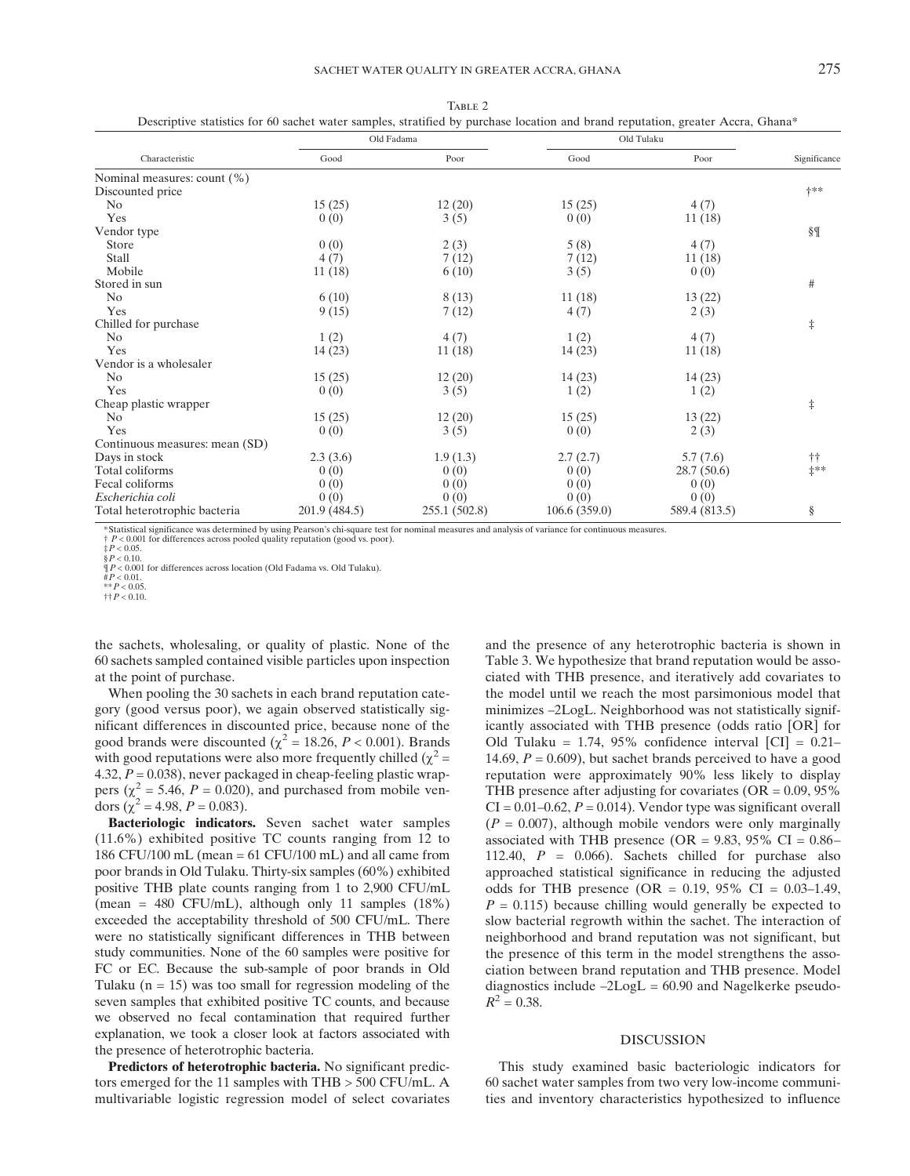|                                | Old Fadama    |               | Old Tulaku   |               |                     |
|--------------------------------|---------------|---------------|--------------|---------------|---------------------|
| Characteristic                 | Good          | Poor          | Good         | Poor          | Significance        |
| Nominal measures: count (%)    |               |               |              |               |                     |
| Discounted price               |               |               |              |               | $+***$              |
| No                             | 15(25)        | 12(20)        | 15(25)       | 4(7)          |                     |
| Yes                            | 0(0)          | 3(5)          | 0(0)         | 11(18)        |                     |
| Vendor type                    |               |               |              |               | §¶                  |
| <b>Store</b>                   | 0(0)          | 2(3)          | 5(8)         | 4(7)          |                     |
| Stall                          | 4(7)          | 7(12)         | 7(12)        | 11(18)        |                     |
| Mobile                         | 11(18)        | 6(10)         | 3(5)         | 0(0)          |                     |
| Stored in sun                  |               |               |              |               | $\#$                |
| No                             | 6(10)         | 8(13)         | 11(18)       | 13(22)        |                     |
| Yes                            | 9(15)         | 7(12)         | 4(7)         | 2(3)          |                     |
| Chilled for purchase           |               |               |              |               | $\ddagger$          |
| N <sub>0</sub>                 | 1(2)          | 4(7)          | 1(2)         | 4(7)          |                     |
| Yes                            | 14(23)        | 11(18)        | 14(23)       | 11(18)        |                     |
| Vendor is a wholesaler         |               |               |              |               |                     |
| No                             | 15(25)        | 12(20)        | 14(23)       | 14(23)        |                     |
| Yes                            | 0(0)          | 3(5)          | 1(2)         | 1(2)          |                     |
| Cheap plastic wrapper          |               |               |              |               | $\ddagger$          |
| N <sub>0</sub>                 | 15(25)        | 12(20)        | 15(25)       | 13(22)        |                     |
| Yes                            | 0(0)          | 3(5)          | 0(0)         | 2(3)          |                     |
| Continuous measures: mean (SD) |               |               |              |               |                     |
| Days in stock                  | 2.3(3.6)      | 1.9(1.3)      | 2.7(2.7)     | 5.7(7.6)      | $^{\dagger\dagger}$ |
| Total coliforms                | 0(0)          | 0(0)          | 0(0)         | 28.7(50.6)    | $\ddag$ **          |
| Fecal coliforms                | 0(0)          | 0(0)          | 0(0)         | 0(0)          |                     |
| Escherichia coli               | 0(0)          | 0(0)          | 0(0)         | 0(0)          |                     |
| Total heterotrophic bacteria   | 201.9 (484.5) | 255.1 (502.8) | 106.6(359.0) | 589.4 (813.5) | $\S$                |

TABLE 2 Descriptive statistics for 60 sachet water samples, stratified by purchase location and brand reputation, greater Accra, Ghana\*

\*Statistical significance was determined by using Pearson's chi-square test for nominal measures and analysis of variance for continuous measures.

† P < 0.001 for differences across pooled quality reputation (good vs. poor).  $\pm P < 0.05$ .

¶P < 0.001 for differences across location (Old Fadama vs. Old Tulaku). #P < 0.01.

\*\* $P < 0.05$ .

 $\dagger\dagger P < 0.10$ .

the sachets, wholesaling, or quality of plastic. None of the 60 sachets sampled contained visible particles upon inspection at the point of purchase.

When pooling the 30 sachets in each brand reputation category (good versus poor), we again observed statistically significant differences in discounted price, because none of the good brands were discounted ( $\chi^2$  = 18.26, *P* < 0.001). Brands with good reputations were also more frequently chilled ( $\chi^2$  = 4.32,  $P = 0.038$ ), never packaged in cheap-feeling plastic wrappers ( $\chi^2$  = 5.46, P = 0.020), and purchased from mobile vendors  $(\chi^2 = 4.98, P = 0.083)$ .

Bacteriologic indicators. Seven sachet water samples (11.6%) exhibited positive TC counts ranging from 12 to 186 CFU/100 mL (mean = 61 CFU/100 mL) and all came from poor brands in Old Tulaku. Thirty-six samples (60%) exhibited positive THB plate counts ranging from 1 to 2,900 CFU/mL (mean = 480 CFU/mL), although only 11 samples (18%) exceeded the acceptability threshold of 500 CFU/mL. There were no statistically significant differences in THB between study communities. None of the 60 samples were positive for FC or EC. Because the sub-sample of poor brands in Old Tulaku ( $n = 15$ ) was too small for regression modeling of the seven samples that exhibited positive TC counts, and because we observed no fecal contamination that required further explanation, we took a closer look at factors associated with the presence of heterotrophic bacteria.

Predictors of heterotrophic bacteria. No significant predictors emerged for the 11 samples with THB > 500 CFU/mL. A multivariable logistic regression model of select covariates and the presence of any heterotrophic bacteria is shown in Table 3. We hypothesize that brand reputation would be associated with THB presence, and iteratively add covariates to the model until we reach the most parsimonious model that minimizes –2LogL. Neighborhood was not statistically significantly associated with THB presence (odds ratio [OR] for Old Tulaku = 1.74, 95% confidence interval  $\text{[CI]} = 0.21$ -14.69,  $P = 0.609$ ), but sachet brands perceived to have a good reputation were approximately 90% less likely to display THB presence after adjusting for covariates ( $OR = 0.09, 95\%$  $CI = 0.01 - 0.62$ ,  $P = 0.014$ ). Vendor type was significant overall  $(P = 0.007)$ , although mobile vendors were only marginally associated with THB presence (OR =  $9.83$ ,  $95\%$  CI =  $0.86-$ 112.40,  $P = 0.066$ . Sachets chilled for purchase also approached statistical significance in reducing the adjusted odds for THB presence  $(OR = 0.19, 95\% \text{ CI} = 0.03-1.49,$  $P = 0.115$ ) because chilling would generally be expected to slow bacterial regrowth within the sachet. The interaction of neighborhood and brand reputation was not significant, but the presence of this term in the model strengthens the association between brand reputation and THB presence. Model diagnostics include  $-2LogL = 60.90$  and Nagelkerke pseudo- $R^2 = 0.38$ .

### DISCUSSION

This study examined basic bacteriologic indicators for 60 sachet water samples from two very low-income communities and inventory characteristics hypothesized to influence

 $$P < 0.10$ .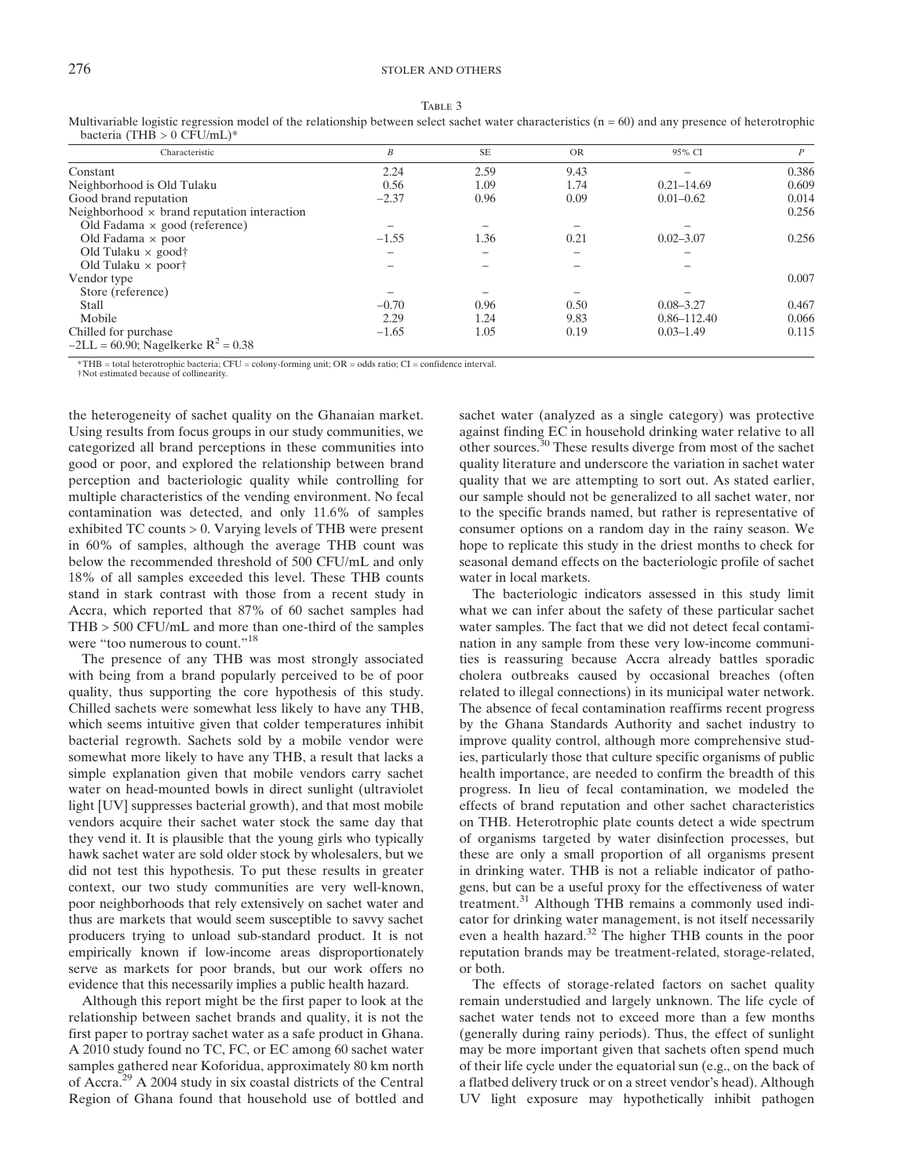|--|--|--|

TABLE 3<br>Multivariable logistic regression model of the relationship between select sachet water characteristics (n = 60) and any presence of heterotrophic bacteria (THB  $> 0$  CFU/mL)\*

| Characteristic                                     | В                        | <b>SE</b> | <b>OR</b> | 95% CI          | $\overline{P}$ |
|----------------------------------------------------|--------------------------|-----------|-----------|-----------------|----------------|
| Constant                                           | 2.24                     | 2.59      | 9.43      |                 | 0.386          |
| Neighborhood is Old Tulaku                         | 0.56                     | 1.09      | 1.74      | $0.21 - 14.69$  | 0.609          |
| Good brand reputation                              | $-2.37$                  | 0.96      | 0.09      | $0.01 - 0.62$   | 0.014          |
| Neighborhood $\times$ brand reputation interaction |                          |           |           |                 | 0.256          |
| Old Fadama $\times$ good (reference)               |                          |           |           |                 |                |
| Old Fadama $\times$ poor                           | $-1.55$                  | 1.36      | 0.21      | $0.02 - 3.07$   | 0.256          |
| Old Tulaku $\times$ good†                          | $\overline{\phantom{a}}$ |           |           |                 |                |
| Old Tulaku $\times$ poor†                          |                          |           |           |                 |                |
| Vendor type                                        |                          |           |           |                 | 0.007          |
| Store (reference)                                  |                          |           |           |                 |                |
| Stall                                              | $-0.70$                  | 0.96      | 0.50      | $0.08 - 3.27$   | 0.467          |
| Mobile                                             | 2.29                     | 1.24      | 9.83      | $0.86 - 112.40$ | 0.066          |
| Chilled for purchase                               | $-1.65$                  | 1.05      | 0.19      | $0.03 - 1.49$   | 0.115          |
| $-2LL = 60.90$ ; Nagelkerke R <sup>2</sup> = 0.38  |                          |           |           |                 |                |

\*THB = total heterotrophic bacteria; CFU = colony-forming unit; OR = odds ratio; CI = confidence interval.

†Not estimated because of collinearity.

the heterogeneity of sachet quality on the Ghanaian market. Using results from focus groups in our study communities, we categorized all brand perceptions in these communities into good or poor, and explored the relationship between brand perception and bacteriologic quality while controlling for multiple characteristics of the vending environment. No fecal contamination was detected, and only 11.6% of samples exhibited TC counts > 0. Varying levels of THB were present in 60% of samples, although the average THB count was below the recommended threshold of 500 CFU/mL and only 18% of all samples exceeded this level. These THB counts stand in stark contrast with those from a recent study in Accra, which reported that 87% of 60 sachet samples had THB > 500 CFU/mL and more than one-third of the samples were "too numerous to count."<sup>18</sup>

The presence of any THB was most strongly associated with being from a brand popularly perceived to be of poor quality, thus supporting the core hypothesis of this study. Chilled sachets were somewhat less likely to have any THB, which seems intuitive given that colder temperatures inhibit bacterial regrowth. Sachets sold by a mobile vendor were somewhat more likely to have any THB, a result that lacks a simple explanation given that mobile vendors carry sachet water on head-mounted bowls in direct sunlight (ultraviolet light [UV] suppresses bacterial growth), and that most mobile vendors acquire their sachet water stock the same day that they vend it. It is plausible that the young girls who typically hawk sachet water are sold older stock by wholesalers, but we did not test this hypothesis. To put these results in greater context, our two study communities are very well-known, poor neighborhoods that rely extensively on sachet water and thus are markets that would seem susceptible to savvy sachet producers trying to unload sub-standard product. It is not empirically known if low-income areas disproportionately serve as markets for poor brands, but our work offers no evidence that this necessarily implies a public health hazard.

Although this report might be the first paper to look at the relationship between sachet brands and quality, it is not the first paper to portray sachet water as a safe product in Ghana. A 2010 study found no TC, FC, or EC among 60 sachet water samples gathered near Koforidua, approximately 80 km north of Accra.<sup>29</sup> A 2004 study in six coastal districts of the Central Region of Ghana found that household use of bottled and

sachet water (analyzed as a single category) was protective against finding EC in household drinking water relative to all other sources.<sup>30</sup> These results diverge from most of the sachet quality literature and underscore the variation in sachet water quality that we are attempting to sort out. As stated earlier, our sample should not be generalized to all sachet water, nor to the specific brands named, but rather is representative of consumer options on a random day in the rainy season. We hope to replicate this study in the driest months to check for seasonal demand effects on the bacteriologic profile of sachet water in local markets.

The bacteriologic indicators assessed in this study limit what we can infer about the safety of these particular sachet water samples. The fact that we did not detect fecal contamination in any sample from these very low-income communities is reassuring because Accra already battles sporadic cholera outbreaks caused by occasional breaches (often related to illegal connections) in its municipal water network. The absence of fecal contamination reaffirms recent progress by the Ghana Standards Authority and sachet industry to improve quality control, although more comprehensive studies, particularly those that culture specific organisms of public health importance, are needed to confirm the breadth of this progress. In lieu of fecal contamination, we modeled the effects of brand reputation and other sachet characteristics on THB. Heterotrophic plate counts detect a wide spectrum of organisms targeted by water disinfection processes, but these are only a small proportion of all organisms present in drinking water. THB is not a reliable indicator of pathogens, but can be a useful proxy for the effectiveness of water treatment.<sup>31</sup> Although THB remains a commonly used indicator for drinking water management, is not itself necessarily even a health hazard.<sup>32</sup> The higher THB counts in the poor reputation brands may be treatment-related, storage-related, or both.

The effects of storage-related factors on sachet quality remain understudied and largely unknown. The life cycle of sachet water tends not to exceed more than a few months (generally during rainy periods). Thus, the effect of sunlight may be more important given that sachets often spend much of their life cycle under the equatorial sun (e.g., on the back of a flatbed delivery truck or on a street vendor's head). Although UV light exposure may hypothetically inhibit pathogen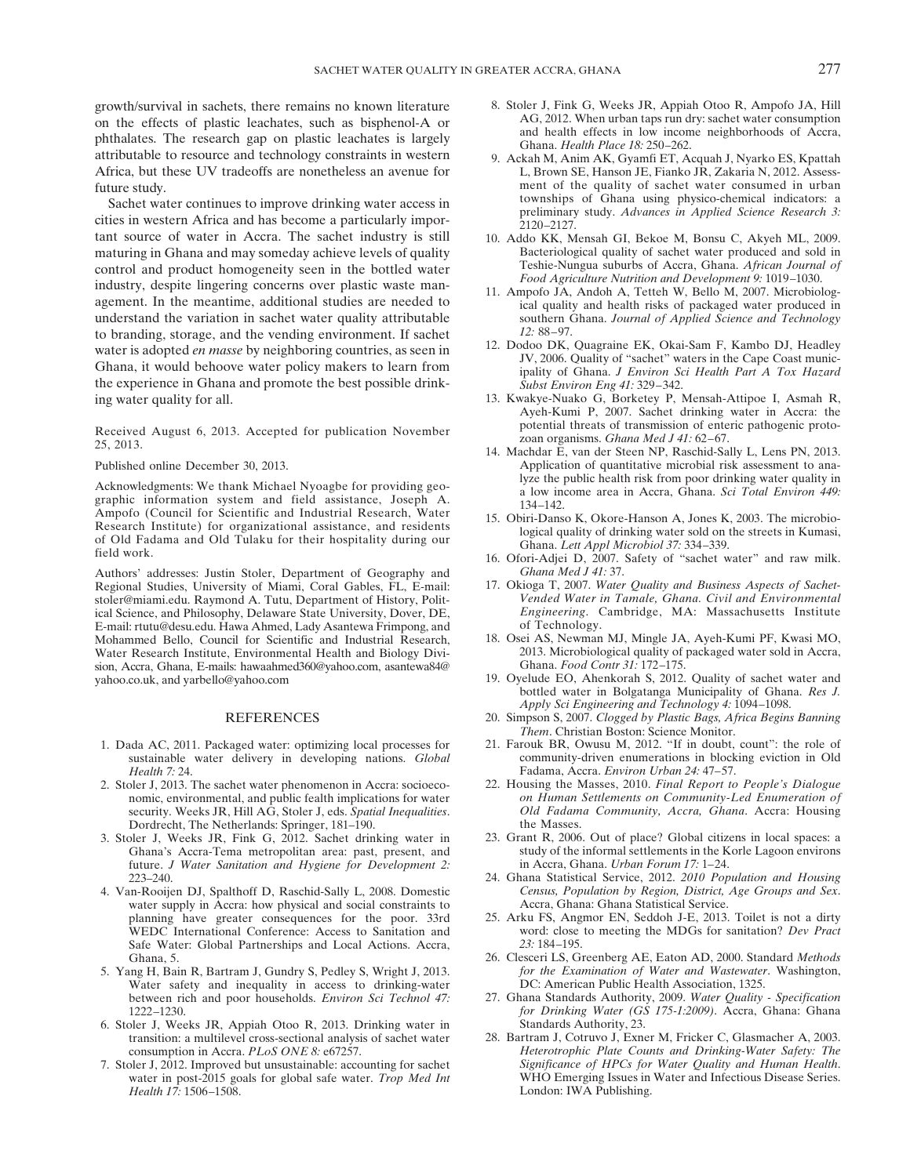growth/survival in sachets, there remains no known literature on the effects of plastic leachates, such as bisphenol-A or phthalates. The research gap on plastic leachates is largely attributable to resource and technology constraints in western Africa, but these UV tradeoffs are nonetheless an avenue for future study.

Sachet water continues to improve drinking water access in cities in western Africa and has become a particularly important source of water in Accra. The sachet industry is still maturing in Ghana and may someday achieve levels of quality control and product homogeneity seen in the bottled water industry, despite lingering concerns over plastic waste management. In the meantime, additional studies are needed to understand the variation in sachet water quality attributable to branding, storage, and the vending environment. If sachet water is adopted en masse by neighboring countries, as seen in Ghana, it would behoove water policy makers to learn from the experience in Ghana and promote the best possible drinking water quality for all.

Received August 6, 2013. Accepted for publication November 25, 2013.

Published online December 30, 2013.

Acknowledgments: We thank Michael Nyoagbe for providing geographic information system and field assistance, Joseph A. Ampofo (Council for Scientific and Industrial Research, Water Research Institute) for organizational assistance, and residents of Old Fadama and Old Tulaku for their hospitality during our field work.

Authors' addresses: Justin Stoler, Department of Geography and Regional Studies, University of Miami, Coral Gables, FL, E-mail: stoler@miami.edu. Raymond A. Tutu, Department of History, Political Science, and Philosophy, Delaware State University, Dover, DE, E-mail: rtutu@desu.edu. Hawa Ahmed, Lady Asantewa Frimpong, and Mohammed Bello, Council for Scientific and Industrial Research, Water Research Institute, Environmental Health and Biology Division, Accra, Ghana, E-mails: hawaahmed360@yahoo.com, asantewa84@ yahoo.co.uk, and yarbello@yahoo.com

#### REFERENCES

- 1. Dada AC, 2011. Packaged water: optimizing local processes for sustainable water delivery in developing nations. Global Health 7: 24.
- 2. Stoler J, 2013. The sachet water phenomenon in Accra: socioeconomic, environmental, and public fealth implications for water security. Weeks JR, Hill AG, Stoler J, eds. Spatial Inequalities. Dordrecht, The Netherlands: Springer, 181–190.
- 3. Stoler J, Weeks JR, Fink G, 2012. Sachet drinking water in Ghana's Accra-Tema metropolitan area: past, present, and future. J Water Sanitation and Hygiene for Development 2: 223–240.
- 4. Van-Rooijen DJ, Spalthoff D, Raschid-Sally L, 2008. Domestic water supply in Accra: how physical and social constraints to planning have greater consequences for the poor. 33rd WEDC International Conference: Access to Sanitation and Safe Water: Global Partnerships and Local Actions. Accra, Ghana, 5.
- 5. Yang H, Bain R, Bartram J, Gundry S, Pedley S, Wright J, 2013. Water safety and inequality in access to drinking-water between rich and poor households. Environ Sci Technol 47: 1222–1230.
- 6. Stoler J, Weeks JR, Appiah Otoo R, 2013. Drinking water in transition: a multilevel cross-sectional analysis of sachet water consumption in Accra. PLoS ONE 8: e67257.
- 7. Stoler J, 2012. Improved but unsustainable: accounting for sachet water in post-2015 goals for global safe water. Trop Med Int Health 17: 1506–1508.
- 8. Stoler J, Fink G, Weeks JR, Appiah Otoo R, Ampofo JA, Hill AG, 2012. When urban taps run dry: sachet water consumption and health effects in low income neighborhoods of Accra, Ghana. Health Place 18: 250–262.
- 9. Ackah M, Anim AK, Gyamfi ET, Acquah J, Nyarko ES, Kpattah L, Brown SE, Hanson JE, Fianko JR, Zakaria N, 2012. Assessment of the quality of sachet water consumed in urban townships of Ghana using physico-chemical indicators: a preliminary study. Advances in Applied Science Research 3: 2120–2127.
- 10. Addo KK, Mensah GI, Bekoe M, Bonsu C, Akyeh ML, 2009. Bacteriological quality of sachet water produced and sold in Teshie-Nungua suburbs of Accra, Ghana. African Journal of Food Agriculture Nutrition and Development 9: 1019–1030.
- 11. Ampofo JA, Andoh A, Tetteh W, Bello M, 2007. Microbiological quality and health risks of packaged water produced in southern Ghana. Journal of Applied Science and Technology 12: 88–97.
- 12. Dodoo DK, Quagraine EK, Okai-Sam F, Kambo DJ, Headley JV, 2006. Quality of "sachet" waters in the Cape Coast municipality of Ghana. J Environ Sci Health Part A Tox Hazard Subst Environ Eng 41: 329–342.
- 13. Kwakye-Nuako G, Borketey P, Mensah-Attipoe I, Asmah R, Ayeh-Kumi P, 2007. Sachet drinking water in Accra: the potential threats of transmission of enteric pathogenic protozoan organisms. Ghana Med J 41: 62–67.
- 14. Machdar E, van der Steen NP, Raschid-Sally L, Lens PN, 2013. Application of quantitative microbial risk assessment to analyze the public health risk from poor drinking water quality in a low income area in Accra, Ghana. Sci Total Environ 449: 134–142.
- 15. Obiri-Danso K, Okore-Hanson A, Jones K, 2003. The microbiological quality of drinking water sold on the streets in Kumasi, Ghana. Lett Appl Microbiol 37: 334–339.
- 16. Ofori-Adjei D, 2007. Safety of "sachet water" and raw milk. Ghana Med J 41: 37.
- 17. Okioga T, 2007. Water Quality and Business Aspects of Sachet-Vended Water in Tamale, Ghana. Civil and Environmental Engineering. Cambridge, MA: Massachusetts Institute of Technology.
- 18. Osei AS, Newman MJ, Mingle JA, Ayeh-Kumi PF, Kwasi MO, 2013. Microbiological quality of packaged water sold in Accra, Ghana. Food Contr 31: 172–175.
- 19. Oyelude EO, Ahenkorah S, 2012. Quality of sachet water and bottled water in Bolgatanga Municipality of Ghana. Res J. Apply Sci Engineering and Technology 4: 1094–1098.
- 20. Simpson S, 2007. Clogged by Plastic Bags, Africa Begins Banning Them. Christian Boston: Science Monitor.
- 21. Farouk BR, Owusu M, 2012. "If in doubt, count": the role of community-driven enumerations in blocking eviction in Old Fadama, Accra. Environ Urban 24: 47–57.
- 22. Housing the Masses, 2010. Final Report to People's Dialogue on Human Settlements on Community-Led Enumeration of Old Fadama Community, Accra, Ghana. Accra: Housing the Masses.
- 23. Grant R, 2006. Out of place? Global citizens in local spaces: a study of the informal settlements in the Korle Lagoon environs in Accra, Ghana. Urban Forum 17: 1–24.
- 24. Ghana Statistical Service, 2012. 2010 Population and Housing Census, Population by Region, District, Age Groups and Sex. Accra, Ghana: Ghana Statistical Service.
- 25. Arku FS, Angmor EN, Seddoh J-E, 2013. Toilet is not a dirty word: close to meeting the MDGs for sanitation? Dev Pract 23: 184–195.
- 26. Clesceri LS, Greenberg AE, Eaton AD, 2000. Standard Methods for the Examination of Water and Wastewater. Washington, DC: American Public Health Association, 1325.
- 27. Ghana Standards Authority, 2009. Water Quality Specification for Drinking Water (GS 175-1:2009). Accra, Ghana: Ghana Standards Authority, 23.
- 28. Bartram J, Cotruvo J, Exner M, Fricker C, Glasmacher A, 2003. Heterotrophic Plate Counts and Drinking-Water Safety: The Significance of HPCs for Water Quality and Human Health. WHO Emerging Issues in Water and Infectious Disease Series. London: IWA Publishing.